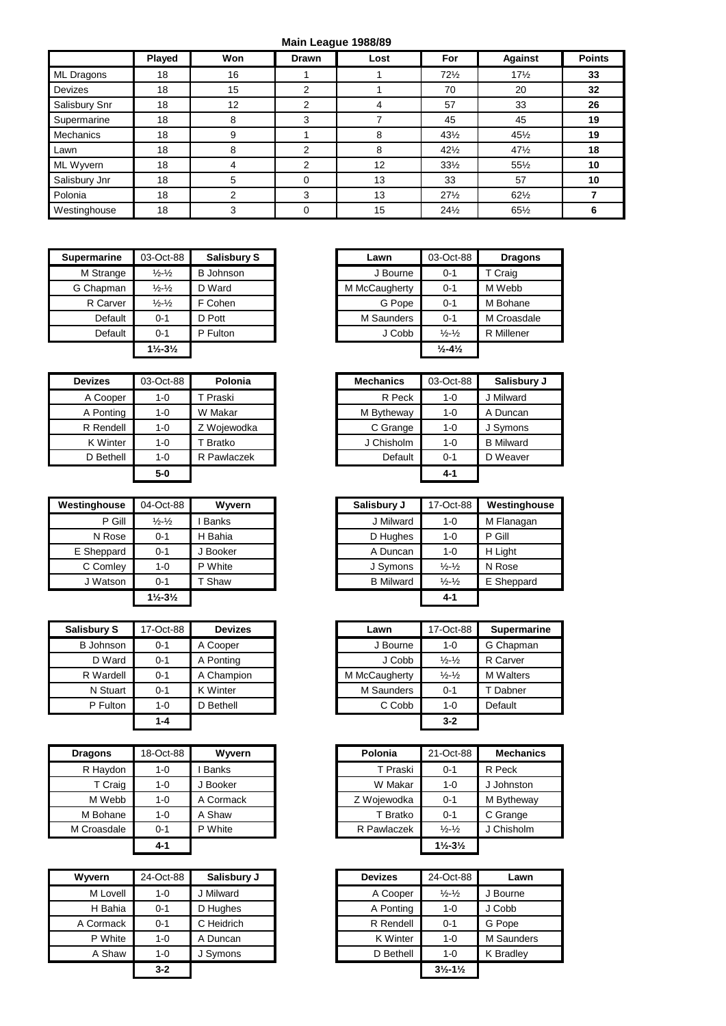## **Main League 1988/89**

|                  | Played | Won | <b>Drawn</b> | Lost | For             | <b>Against</b>  | <b>Points</b> |
|------------------|--------|-----|--------------|------|-----------------|-----------------|---------------|
| ML Dragons       | 18     | 16  |              |      | 72%             | $17\frac{1}{2}$ | 33            |
| <b>Devizes</b>   | 18     | 15  | 2            |      | 70              | 20              | 32            |
| Salisbury Snr    | 18     | 12  | 2            |      | 57              | 33              | 26            |
| Supermarine      | 18     | 8   | 3            |      | 45              | 45              | 19            |
| <b>Mechanics</b> | 18     | 9   |              | 8    | $43\frac{1}{2}$ | $45\frac{1}{2}$ | 19            |
| Lawn             | 18     | 8   | 2            | 8    | $42\frac{1}{2}$ | $47\frac{1}{2}$ | 18            |
| ML Wyvern        | 18     | 4   | 2            | 12   | $33\frac{1}{2}$ | 551/2           | 10            |
| Salisbury Jnr    | 18     | 5   | 0            | 13   | 33              | 57              | 10            |
| Polonia          | 18     | 2   | 3            | 13   | $27\frac{1}{2}$ | $62\frac{1}{2}$ |               |
| Westinghouse     | 18     | 3   | 0            | 15   | 24%             | 65½             | 6             |

| <b>Supermarine</b> | 03-Oct-88                     | <b>Salisbury S</b> | Lawn          | 03-Oct-88                   | <b>Dragons</b> |
|--------------------|-------------------------------|--------------------|---------------|-----------------------------|----------------|
| M Strange          | $\frac{1}{2} - \frac{1}{2}$   | <b>B</b> Johnson   | J Bourne      | $0 - 1$                     | T Craig        |
| G Chapman          | $\frac{1}{2} - \frac{1}{2}$   | D Ward             | M McCaugherty | $0 - 1$                     | M Webb         |
| R Carver           | $\frac{1}{2} - \frac{1}{2}$   | F Cohen            | G Pope        | $0 - 1$                     | M Bohane       |
| Default            | $0 - 1$                       | D Pott             | M Saunders    | $0 - 1$                     | M Croasdale    |
| Default            | $0 - 1$                       | P Fulton           | J Cobb        | $\frac{1}{2} - \frac{1}{2}$ | R Millener     |
|                    | $1\frac{1}{2} - 3\frac{1}{2}$ |                    |               | $\frac{1}{2} - \frac{4}{2}$ |                |

| <b>Devizes</b> | 03-Oct-88 | Polonia     | <b>Mechanics</b> | 03-Oct-88 | <b>Salisbe</b>   |
|----------------|-----------|-------------|------------------|-----------|------------------|
| A Cooper       | 1-0       | Praski      | R Peck           | $1 - 0$   | J Milward        |
| A Ponting      | $1 - 0$   | W Makar     | M Bytheway       | $1 - 0$   | A Duncar         |
| R Rendell      | $1 - 0$   | Z Wojewodka | C Grange         | $1 - 0$   | J Symons         |
| K Winter       | $1 - 0$   | Bratko      | J Chisholm       | $1 - 0$   | <b>B</b> Milward |
| D Bethell      | $1 - 0$   | R Pawlaczek | Default          | $0 - 1$   | D Weave          |
|                | $5-0$     |             |                  | 4-1       |                  |

| Westinghouse | 04-Oct-88                     | Wyvern       |
|--------------|-------------------------------|--------------|
| P Gill       | $\frac{1}{2} - \frac{1}{2}$   | <b>Banks</b> |
| N Rose       | $0 - 1$                       | H Bahia      |
| E Sheppard   | $0 - 1$                       | J Booker     |
| C Comley     | 1-0                           | P White      |
| J Watson     | $0 - 1$                       | T Shaw       |
|              | $1\frac{1}{2} - 3\frac{1}{2}$ |              |

| <b>Salisbury S</b> | 17-Oct-88 | <b>Devizes</b>  | Lawn          | 17-Oct-88                   |        |
|--------------------|-----------|-----------------|---------------|-----------------------------|--------|
| B Johnson          | $0 - 1$   | A Cooper        | J Bourne      | 1-0                         | G Chap |
| D Ward             | $0 - 1$   | A Ponting       | J Cobb        | $\frac{1}{2} - \frac{1}{2}$ | R Carv |
| R Wardell          | $0 - 1$   | A Champion      | M McCaugherty | $\frac{1}{2}$ $\frac{1}{2}$ | M Walt |
| N Stuart           | $0 - 1$   | <b>K</b> Winter | M Saunders    | $0 - 1$                     |        |
| P Fulton           | $1 - 0$   | D Bethell       | C Cobb        | $1 - 0$                     |        |
|                    | $1 - 4$   |                 |               | $3-2$                       |        |

| <b>Dragons</b> | 18-Oct-88 | Wyvern       |
|----------------|-----------|--------------|
| R Haydon       | 1-0       | <b>Banks</b> |
| T Craig        | $1 - 0$   | Booker       |
| M Webb         | 1-0       | A Cormack    |
| M Bohane       | $1 - 0$   | A Shaw       |
| M Croasdale    | 0-1       | P White      |
|                | 4-1       |              |

| Wyvern    | 24-Oct-88 | Salisbury J | <b>Devizes</b> | 24-Oct-88                     |
|-----------|-----------|-------------|----------------|-------------------------------|
| M Lovell  | $1 - 0$   | Milward     | A Cooper       | $\frac{1}{2} - \frac{1}{2}$   |
| H Bahia   | $0 - 1$   | D Hughes    | A Ponting      | 1-0                           |
| A Cormack | $0 - 1$   | C Heidrich  | R Rendell      | $0 - 1$                       |
| P White   | $1 - 0$   | A Duncan    | K Winter       | $1 - 0$                       |
| A Shaw    | $1 - 0$   | J Symons    | D Bethell      | 1-0                           |
|           | $3 - 2$   |             |                | $3\frac{1}{2} - 1\frac{1}{2}$ |

| 03-Oct-88<br><b>Salisbury S</b><br>03-Oct-88<br>rmarine<br>Lawn<br>I Strange<br><b>B</b> Johnson<br>J Bourne<br>$\frac{1}{2}$ - $\frac{1}{2}$<br>$0 - 1$<br>D Ward<br>M McCaugherty<br>Chapman<br>$\frac{1}{2}$ - $\frac{1}{2}$<br>$0 - 1$<br>R Carver<br>F Cohen<br>G Pope<br>$\frac{1}{2}$ - $\frac{1}{2}$<br>$0 - 1$<br>Default<br>D Pott<br>M Saunders<br>0-1<br>$0 - 1$<br>Default<br>P Fulton<br>J Cobb<br>$\frac{1}{2} - \frac{1}{2}$<br>$0 - 1$<br>$1\frac{1}{2} - 3\frac{1}{2}$<br>$\frac{1}{2} - 4\frac{1}{2}$ |  |  |
|--------------------------------------------------------------------------------------------------------------------------------------------------------------------------------------------------------------------------------------------------------------------------------------------------------------------------------------------------------------------------------------------------------------------------------------------------------------------------------------------------------------------------|--|--|
|                                                                                                                                                                                                                                                                                                                                                                                                                                                                                                                          |  |  |
|                                                                                                                                                                                                                                                                                                                                                                                                                                                                                                                          |  |  |
|                                                                                                                                                                                                                                                                                                                                                                                                                                                                                                                          |  |  |
|                                                                                                                                                                                                                                                                                                                                                                                                                                                                                                                          |  |  |
|                                                                                                                                                                                                                                                                                                                                                                                                                                                                                                                          |  |  |
|                                                                                                                                                                                                                                                                                                                                                                                                                                                                                                                          |  |  |
|                                                                                                                                                                                                                                                                                                                                                                                                                                                                                                                          |  |  |

| <b>Devizes</b> | 03-Oct-88 | Polonia     | <b>Mechanics</b> | 03-Oct-88 | Salisbury J      |
|----------------|-----------|-------------|------------------|-----------|------------------|
| A Cooper       | $1 - 0$   | Praski      | R Peck           | 1-0       | J Milward        |
| A Ponting      | $1 - 0$   | W Makar     | M Bytheway       | $1 - 0$   | A Duncan         |
| R Rendell      | $1 - 0$   | Z Wojewodka | C Grange         | 1-0       | J Symons         |
| K Winter       | $1 - 0$   | Bratko      | J Chisholm       | 1-0       | <b>B</b> Milward |
| D Bethell      | $1 - 0$   | R Pawlaczek | Default          | $0 - 1$   | D Weaver         |
|                | $5-0$     |             |                  | 4-1       |                  |

| Westinghouse | 04-Oct-88                     | Wwern        | Salisbury J      | 17-Oct-88                   | Westinghouse |
|--------------|-------------------------------|--------------|------------------|-----------------------------|--------------|
| P Gill       | $\frac{1}{2} - \frac{1}{2}$   | <b>Banks</b> | J Milward        | 1-0                         | M Flanagan   |
| N Rose       | $0 - 1$                       | H Bahia      | D Hughes         | 1-0                         | P Gill       |
| E Sheppard   | $0 - 1$                       | J Booker     | A Duncan         | 1-0                         | H Light      |
| C Comley     | $1 - 0$                       | P White      | J Symons         | $\frac{1}{2} - \frac{1}{2}$ | N Rose       |
| J Watson     | $0 - 1$                       | T Shaw       | <b>B</b> Milward | $\frac{1}{2} - \frac{1}{2}$ | E Sheppard   |
|              | $1\frac{1}{2} - 3\frac{1}{2}$ |              |                  | $4 - 1$                     |              |

| Salisbury S      | 17-Oct-88 | <b>Devizes</b>  | Lawn          | 17-Oct-88                   | <b>Supermarine</b> |
|------------------|-----------|-----------------|---------------|-----------------------------|--------------------|
| <b>B</b> Johnson | $0 - 1$   | A Cooper        | J Bourne      | $1 - 0$                     | G Chapman          |
| D Ward           | $0 - 1$   | A Ponting       | J Cobb        | $\frac{1}{2} - \frac{1}{2}$ | R Carver           |
| R Wardell        | $0 - 1$   | A Champion      | M McCaugherty | $\frac{1}{2} - \frac{1}{2}$ | <b>M</b> Walters   |
| N Stuart         | $0 - 1$   | <b>K</b> Winter | M Saunders    | $0 - 1$                     | T Dabner           |
| P Fulton         | $1 - 0$   | D Bethell       | C Cobb        | $1 - 0$                     | Default            |
|                  | 1-4       |                 |               | $3 - 2$                     |                    |

| <b>Dragons</b> | 18-Oct-88 | Wyvern    | Polonia     | 21-Oct-88                     | <b>Mechanics</b> |
|----------------|-----------|-----------|-------------|-------------------------------|------------------|
| R Haydon       | 1-0       | Banks     | T Praski    | $0 - 1$                       | R Peck           |
| T Craig        | 1-0       | J Booker  | W Makar     | $1 - 0$                       | J Johnston       |
| M Webb         | $1 - 0$   | A Cormack | Z Wojewodka | $0 - 1$                       | M Bytheway       |
| M Bohane       | 1-0       | A Shaw    | T Bratko    | $0 - 1$                       | C Grange         |
| M Croasdale    | 0-1       | P White   | R Pawlaczek | $\frac{1}{2} - \frac{1}{2}$   | J Chisholm       |
|                | $4 - 1$   |           |             | $1\frac{1}{2} - 3\frac{1}{2}$ |                  |

| vern     | 24-Oct-88 | Salisbury J | <b>Devizes</b>  | 24-Oct-88                     | Lawn       |
|----------|-----------|-------------|-----------------|-------------------------------|------------|
| M Lovell | 1-0       | J Milward   | A Cooper        | $\frac{1}{2} - \frac{1}{2}$   | J Bourne   |
| H Bahia  | $0 - 1$   | D Hughes    | A Ponting       | $1 - 0$                       | J Cobb     |
| Cormack  | $0 - 1$   | C Heidrich  | R Rendell       | $0 - 1$                       | G Pope     |
| P White  | $1 - 0$   | A Duncan    | <b>K</b> Winter | $1 - 0$                       | M Saunders |
| A Shaw   | $1 - 0$   | J Symons    | D Bethell       | $1 - 0$                       | K Bradley  |
|          | $3 - 2$   |             |                 | $3\frac{1}{2} - 1\frac{1}{2}$ |            |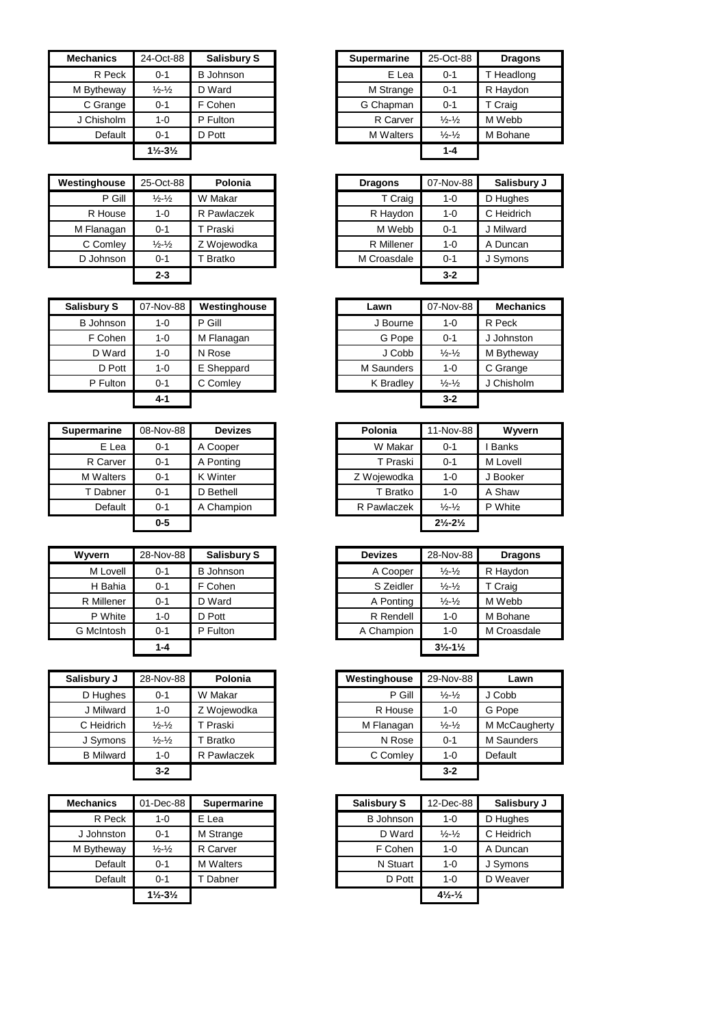| <b>Mechanics</b> | 24-Oct-88                     | <b>Salisbury S</b> | <b>Supermarine</b> | 25-Oct-88                   |
|------------------|-------------------------------|--------------------|--------------------|-----------------------------|
| R Peck           | $0 - 1$                       | <b>B</b> Johnson   | E Lea              | $0 - 1$                     |
| M Bytheway       | $\frac{1}{2}$ - $\frac{1}{2}$ | D Ward             | M Strange          | $0 - 1$                     |
| C Grange         | $0 - 1$                       | F Cohen            | G Chapman          | $0 - 1$                     |
| J Chisholm       | $1 - 0$                       | P Fulton           | R Carver           | $\frac{1}{2} - \frac{1}{2}$ |
| Default          | $0 - 1$                       | D Pott             | <b>M</b> Walters   | $\frac{1}{2} - \frac{1}{2}$ |
|                  | $1\frac{1}{2} - 3\frac{1}{2}$ |                    |                    | $1 - 4$                     |

| Westinghouse | 25-Oct-88                   | Polonia     | <b>Dragons</b> | 07-Nov-88 | Salisbury J |
|--------------|-----------------------------|-------------|----------------|-----------|-------------|
| P Gill       | $\frac{1}{2} - \frac{1}{2}$ | W Makar     | T Craig        | $1 - 0$   | D Hughes    |
| R House      | 1-0                         | R Pawlaczek | R Haydon       | $1 - 0$   | C Heidrich  |
| M Flanagan   | $0 - 1$                     | T Praski    | M Webb         | $0 - 1$   | J Milward   |
| C Comley     | $\frac{1}{2} - \frac{1}{2}$ | Z Woiewodka | R Millener     | $1 - 0$   | A Duncan    |
| D Johnson    | $0 - 1$                     | T Bratko    | M Croasdale    | $0 - 1$   | J Symons    |
|              | 2-3                         |             |                | $3-2$     |             |

| Salisbury S | 07-Nov-88 | Westinghouse | Lawn       | 07-Nov-88                   |         |
|-------------|-----------|--------------|------------|-----------------------------|---------|
| B Johnson   | $1 - 0$   | P Gill       | J Bourne   | $1 - 0$                     | R Peck  |
| F Cohen     | $1 - 0$   | M Flanagan   | G Pope     | $0 - 1$                     | J Johns |
| D Ward      | $1 - 0$   | N Rose       | J Cobb     | $\frac{1}{2} - \frac{1}{2}$ | M Byth  |
| D Pott      | $1 - 0$   | E Sheppard   | M Saunders | $1 - 0$                     | C Gran  |
| P Fulton    | $0 - 1$   | C Comley     | K Bradley  | $\frac{1}{2} - \frac{1}{2}$ | J Chish |
|             | $4 - 1$   |              |            | $3 - 2$                     |         |

| <b>Supermarine</b> | 08-Nov-88 | <b>Devizes</b>  | Polonia     | 11-Nov-88                     | Wyvern       |
|--------------------|-----------|-----------------|-------------|-------------------------------|--------------|
| E Lea              | $0 - 1$   | A Cooper        | W Makar     | $0 - 1$                       | <b>Banks</b> |
| R Carver           | $0 - 1$   | A Ponting       | T Praski    | $0 - 1$                       | M Lovell     |
| <b>M</b> Walters   | $0 - 1$   | <b>K</b> Winter | Z Wojewodka | $1 - 0$                       | J Booker     |
| T Dabner           | $0 - 1$   | D Bethell       | T Bratko    | $1 - 0$                       | A Shaw       |
| Default            | $0 - 1$   | A Champion      | R Pawlaczek | $\frac{1}{2} - \frac{1}{2}$   | P White      |
|                    | $0 - 5$   |                 |             | $2\frac{1}{2} - 2\frac{1}{2}$ |              |

| Wyvern     | 28-Nov-88 | Salisbury S      | <b>Devizes</b> | 28-Nov-88                     | Drac    |
|------------|-----------|------------------|----------------|-------------------------------|---------|
| M Lovell   | $0 - 1$   | <b>B</b> Johnson | A Cooper       | $\frac{1}{2} - \frac{1}{2}$   | R Haydo |
| H Bahia    | $0 - 1$   | F Cohen          | S Zeidler      | $\frac{1}{2} - \frac{1}{2}$   | T Craig |
| R Millener | $0 - 1$   | D Ward           | A Ponting      | $\frac{1}{2} - \frac{1}{2}$   | M Webb  |
| P White    | $1 - 0$   | D Pott           | R Rendell      | $1 - 0$                       | M Bohar |
| G McIntosh | $0 - 1$   | P Fulton         | A Champion     | $1 - 0$                       | M Croas |
|            | $1 - 4$   |                  |                | $3\frac{1}{2} - 1\frac{1}{2}$ |         |

| Salisbury J      | 28-Nov-88                     | Polonia             | Westinghouse | 29-Nov-88                   |
|------------------|-------------------------------|---------------------|--------------|-----------------------------|
| D Hughes         | $0 - 1$                       | W Makar             | P Gill       | $\frac{1}{2} - \frac{1}{2}$ |
| J Milward        | $1 - 0$                       | Z Woiewodka         | R House      | 1-0                         |
| C Heidrich       | $\frac{1}{2}$ - $\frac{1}{2}$ | <sup>'</sup> Praski | M Flanagan   | $\frac{1}{2} - \frac{1}{2}$ |
| J Symons         | $\frac{1}{2}$ - $\frac{1}{2}$ | Bratko              | N Rose       | $0 - 1$                     |
| <b>B</b> Milward | $1 - 0$                       | R Pawlaczek         | C Comley     | $1 - 0$                     |
|                  | $3 - 2$                       |                     |              | $3 - 2$                     |

| 01-Dec-88<br><b>Salisbury S</b><br><b>Mechanics</b><br>12-Dec-88<br><b>Supermarine</b><br>R Peck<br><b>B</b> Johnson<br>E Lea<br>$1 - 0$<br>$1 - 0$<br>D Ward<br>$\frac{1}{2} - \frac{1}{2}$<br>J Johnston<br>M Strange<br>$0 - 1$<br>F Cohen<br>$\frac{1}{2} - \frac{1}{2}$<br>R Carver<br>M Bytheway<br>$1 - 0$<br>N Stuart<br>Default<br><b>M</b> Walters<br>$1 - 0$<br>$0 - 1$<br>D Pott<br>Default<br>Dabner<br>$1 - 0$<br>$0 - 1$<br>$4\frac{1}{2}$ - $\frac{1}{2}$<br>$1\frac{1}{2} - 3\frac{1}{2}$ |  |  |  |
|------------------------------------------------------------------------------------------------------------------------------------------------------------------------------------------------------------------------------------------------------------------------------------------------------------------------------------------------------------------------------------------------------------------------------------------------------------------------------------------------------------|--|--|--|
|                                                                                                                                                                                                                                                                                                                                                                                                                                                                                                            |  |  |  |
|                                                                                                                                                                                                                                                                                                                                                                                                                                                                                                            |  |  |  |
|                                                                                                                                                                                                                                                                                                                                                                                                                                                                                                            |  |  |  |
|                                                                                                                                                                                                                                                                                                                                                                                                                                                                                                            |  |  |  |
|                                                                                                                                                                                                                                                                                                                                                                                                                                                                                                            |  |  |  |
|                                                                                                                                                                                                                                                                                                                                                                                                                                                                                                            |  |  |  |
|                                                                                                                                                                                                                                                                                                                                                                                                                                                                                                            |  |  |  |

| anics   | 24-Oct-88                     | <b>Salisbury S</b> | <b>Supermarine</b> | 25-Oct-88                   | <b>Dragons</b> |
|---------|-------------------------------|--------------------|--------------------|-----------------------------|----------------|
| R Peck  | $0 - 1$                       | <b>B</b> Johnson   | E Lea              | $0 - 1$                     | T Headlong     |
| theway  | $\frac{1}{2} - \frac{1}{2}$   | D Ward             | M Strange          | $0 - 1$                     | R Haydon       |
| Grange  | $0 - 1$                       | F Cohen            | G Chapman          | $0 - 1$                     | T Craig        |
| nisholm | $1 - 0$                       | P Fulton           | R Carver           | $\frac{1}{2} - \frac{1}{2}$ | M Webb         |
| Default | $0 - 1$                       | D Pott             | <b>M</b> Walters   | $\frac{1}{2} - \frac{1}{2}$ | M Bohane       |
|         | $1\frac{1}{2} - 3\frac{1}{2}$ |                    |                    | $1 - 4$                     |                |

| inghouse | 25-Oct-88                     | Polonia     | <b>Dragons</b> | 07-Nov-88 | Salisbury J |
|----------|-------------------------------|-------------|----------------|-----------|-------------|
| P Gill   | $\frac{1}{2}$ - $\frac{1}{2}$ | W Makar     | T Craig        | $1 - 0$   | D Hughes    |
| R House  | $1 - 0$                       | R Pawlaczek | R Haydon       | $1 - 0$   | C Heidrich  |
| Flanagan | $0 - 1$                       | T Praski    | M Webb         | $0 - 1$   | J Milward   |
| C Comley | $\frac{1}{2}$ - $\frac{1}{2}$ | Z Wojewodka | R Millener     | $1 - 0$   | A Duncan    |
| Johnson  | $0 - 1$                       | Bratko      | M Croasdale    | $0 - 1$   | J Symons    |
|          | $2 - 3$                       |             |                | $3 - 2$   |             |

| Salisbury S      | 07-Nov-88 | Westinghouse | Lawn       | 07-Nov-88                     | <b>Mechanics</b> |
|------------------|-----------|--------------|------------|-------------------------------|------------------|
| <b>B</b> Johnson | 1-0       | P Gill       | J Bourne   | 1-0                           | R Peck           |
| F Cohen          | $1 - 0$   | M Flanagan   | G Pope     | $0 - 1$                       | Johnston         |
| D Ward           | $1 - 0$   | N Rose       | J Cobb     | $\frac{1}{2} - \frac{1}{2}$   | M Bytheway       |
| D Pott           | $1 - 0$   | E Sheppard   | M Saunders | $1 - 0$                       | C Grange         |
| P Fulton         | $0 - 1$   | C Comlev     | K Bradley  | $\frac{1}{2}$ - $\frac{1}{2}$ | J Chisholm       |
|                  | $4 - 1$   |              |            | $3 - 2$                       |                  |

| <b>narine</b>  | 08-Nov-88 | <b>Devizes</b>  | Polonia     | 11-Nov-88                     | Wyvern       |
|----------------|-----------|-----------------|-------------|-------------------------------|--------------|
| E Lea          | $0 - 1$   | A Cooper        | W Makar     | $0 - 1$                       | <b>Banks</b> |
| Carver         | $0 - 1$   | A Ponting       | T Praski    | $0 - 1$                       | M Lovell     |
| <b>Nalters</b> | $0 - 1$   | <b>K</b> Winter | Z Wojewodka | $1 - 0$                       | J Booker     |
| Dabner         | $0 - 1$   | D Bethell       | T Bratko    | $1 - 0$                       | A Shaw       |
| Default        | $0 - 1$   | A Champion      | R Pawlaczek | $\frac{1}{2} - \frac{1}{2}$   | P White      |
|                | $0-5$     |                 |             | $2\frac{1}{2} - 2\frac{1}{2}$ |              |
|                |           |                 |             |                               |              |

| Wvvern     | 28-Nov-88 | <b>Salisbury S</b> | <b>Devizes</b> | 28-Nov-88                     | <b>Dragons</b> |
|------------|-----------|--------------------|----------------|-------------------------------|----------------|
| M Lovell   | $0 - 1$   | <b>B</b> Johnson   | A Cooper       | $\frac{1}{2} - \frac{1}{2}$   | R Haydon       |
| H Bahia    | $0 - 1$   | F Cohen            | S Zeidler      | $\frac{1}{2} - \frac{1}{2}$   | T Craig        |
| R Millener | $0 - 1$   | D Ward             | A Ponting      | $\frac{1}{2} - \frac{1}{2}$   | M Webb         |
| P White    | $1 - 0$   | D Pott             | R Rendell      | $1 - 0$                       | M Bohane       |
| G McIntosh | $0 - 1$   | P Fulton           | A Champion     | $1 - 0$                       | M Croasdale    |
|            | $1 - 4$   |                    |                | $3\frac{1}{2} - 1\frac{1}{2}$ |                |

| 28-Nov-88                   | Polonia     |
|-----------------------------|-------------|
| $0 - 1$                     | W Makar     |
| $1 - 0$                     | Z Wojewodka |
| $\frac{1}{2} - \frac{1}{2}$ | T Praski    |
| $\frac{1}{2} - \frac{1}{2}$ | Bratko      |
| $1 - 0$                     | R Pawlaczek |
| $3 - 2$                     |             |
|                             |             |

| Mechanics  | 01-Dec-88                     | <b>Supermarine</b> | <b>Salisbury S</b> | 12-Dec-88                      | Salisbury J |
|------------|-------------------------------|--------------------|--------------------|--------------------------------|-------------|
| R Peck     | $1 - 0$                       | E Lea              | <b>B</b> Johnson   | 1-0                            | D Hughes    |
| J Johnston | $0 - 1$                       | M Strange          | D Ward             | $\frac{1}{2}$ $\frac{1}{2}$    | C Heidrich  |
| M Bytheway | $\frac{1}{2} - \frac{1}{2}$   | R Carver           | F Cohen            | $1 - 0$                        | A Duncan    |
| Default    | $0 - 1$                       | <b>M</b> Walters   | N Stuart           | $1 - 0$                        | J Symons    |
| Default    | $0 - 1$                       | Dabner             | D Pott             | $1 - 0$                        | D Weaver    |
|            | $1\frac{1}{2} - 3\frac{1}{2}$ |                    |                    | $4\frac{1}{2}$ - $\frac{1}{2}$ |             |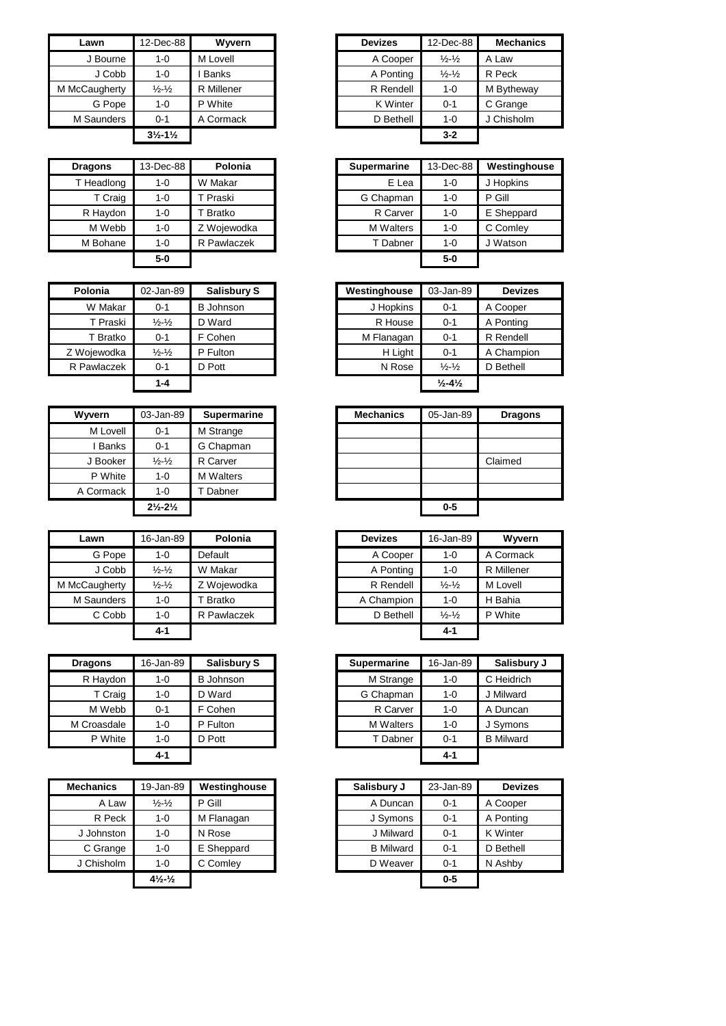| Lawn          | 12-Dec-88                     | Wyvern       |
|---------------|-------------------------------|--------------|
| J Bourne      | 1-0                           | M Lovell     |
| J Cobb        | 1-0                           | <b>Banks</b> |
| M McCaugherty | $\frac{1}{2}$ - $\frac{1}{2}$ | R Millener   |
| G Pope        | $1 - 0$                       | P White      |
| M Saunders    | $0 - 1$                       | A Cormack    |
|               | $3\frac{1}{2} - 1\frac{1}{2}$ |              |

| <b>Dragons</b> | 13-Dec-88 | Polonia     | <b>Supermarine</b> | 13-Dec-88 | Westingl  |
|----------------|-----------|-------------|--------------------|-----------|-----------|
| T Headlong     | $1 - 0$   | W Makar     | E Lea              | $1 - 0$   | J Hopkins |
| T Craig        | $1 - 0$   | T Praski    | G Chapman          | $1 - 0$   | P Gill    |
| R Haydon       | $1 - 0$   | T Bratko    | R Carver           | $1 - 0$   | E Sheppa  |
| M Webb         | $1 - 0$   | Z Wojewodka | <b>M</b> Walters   | $1 - 0$   | C Comley  |
| M Bohane       | $1 - 0$   | R Pawlaczek | T Dabner           | $1 - 0$   | J Watson  |
|                | $5-0$     |             |                    | $5-0$     |           |

| Polonia     | 02-Jan-89                   | <b>Salisbury S</b> | Westinghouse | 03-Jan-89                    |
|-------------|-----------------------------|--------------------|--------------|------------------------------|
| W Makar     | $0 - 1$                     | <b>B</b> Johnson   | J Hopkins    | $0 - 1$                      |
| T Praski    | $\frac{1}{2} - \frac{1}{2}$ | D Ward             | R House      | $0 - 1$                      |
| T Bratko    | $0 - 1$                     | F Cohen            | M Flanagan   | $0 - 1$                      |
| Z Wojewodka | $\frac{1}{2} - \frac{1}{2}$ | P Fulton           | H Light      | $0 - 1$                      |
| R Pawlaczek | 0-1                         | D Pott             | N Rose       | $\frac{1}{2} - \frac{1}{2}$  |
|             | 1-4                         |                    |              | $\frac{1}{2} - 4\frac{1}{2}$ |

| Wyvern    | 03-Jan-89                     | Supermarine      |
|-----------|-------------------------------|------------------|
| M Lovell  | $0 - 1$                       | M Strange        |
| Banks     | $0 - 1$                       | G Chapman        |
| J Booker  | $\frac{1}{2}$ - $\frac{1}{2}$ | R Carver         |
| P White   | $1 - 0$                       | <b>M</b> Walters |
| A Cormack | $1 - 0$                       | Dabner           |
|           | $2\frac{1}{2} - 2\frac{1}{2}$ |                  |
|           |                               |                  |

| Lawn          | 16-Jan-89                     | Polonia       | <b>Devizes</b> | 16-Jan-89                   | Ww       |
|---------------|-------------------------------|---------------|----------------|-----------------------------|----------|
| G Pope        | $1 - 0$                       | Default       | A Cooper       | $1 - 0$                     | A Corma  |
| J Cobb        | $\frac{1}{2}$ - $\frac{1}{2}$ | W Makar       | A Ponting      | $1 - 0$                     | R Millen |
| M McCaugherty | $\frac{1}{2}$ - $\frac{1}{2}$ | Z Wojewodka   | R Rendell      | $\frac{1}{2} - \frac{1}{2}$ | M Lovell |
| M Saunders    | $1 - 0$                       | <b>Bratko</b> | A Champion     | $1 - 0$                     | H Bahia  |
| C Cobb        | $1 - 0$                       | R Pawlaczek   | D Bethell      | $\frac{1}{2} - \frac{1}{2}$ | P White  |
|               | $4 - 1$                       |               |                | $4 - 1$                     |          |

| <b>Dragons</b> | 16-Jan-89 | <b>Salisbury S</b> | <b>Supermarine</b> | 16-Jan-89 | Salisbu          |
|----------------|-----------|--------------------|--------------------|-----------|------------------|
| R Haydon       | $1 - 0$   | <b>B</b> Johnson   | M Strange          | $1 - 0$   | C Heidrich       |
| T Craig        | 1-0       | D Ward             | G Chapman          | $1 - 0$   | J Milward        |
| M Webb         | $0 - 1$   | F Cohen            | R Carver           | $1 - 0$   | A Duncan         |
| M Croasdale    | $1 - 0$   | P Fulton           | M Walters          | $1 - 0$   | J Symons         |
| P White        | $1 - 0$   | D Pott             | T Dabner           | $0 - 1$   | <b>B</b> Milward |
|                | 4-1       |                    |                    | $4 - 1$   |                  |

| <b>Mechanics</b> | 19-Jan-89                    | Westinghouse | Salisbury J      | 23-Jan-89 | <b>Devizes</b>  |
|------------------|------------------------------|--------------|------------------|-----------|-----------------|
| A Law            | $\frac{1}{2} - \frac{1}{2}$  | P Gill       | A Duncan         | $0 - 1$   | A Cooper        |
| R Peck           | 1-0                          | M Flanagan   | J Symons         | $0 - 1$   | A Ponting       |
| J Johnston       | 1-0                          | N Rose       | J Milward        | $0 - 1$   | <b>K</b> Winter |
| C Grange         | $1 - 0$                      | E Sheppard   | <b>B</b> Milward | $0 - 1$   | D Bethell       |
| J Chisholm       | $1 - 0$                      | C Comley     | D Weaver         | $0 - 1$   | N Ashby         |
|                  | $4\frac{1}{2}$ $\frac{1}{2}$ |              |                  | $0-5$     |                 |

| Lawn       | 12-Dec-88                     | Wwern        |
|------------|-------------------------------|--------------|
| J Bourne   | $1 - 0$                       | M Lovell     |
| J Cobb     | $1 - 0$                       | <b>Banks</b> |
| :Caugherty | $\frac{1}{2} - \frac{1}{2}$   | R Millener   |
| G Pope     | $1 - 0$                       | P White      |
| 1 Saunders | $0 - 1$                       | A Cormack    |
|            | $3\frac{1}{2} - 1\frac{1}{2}$ |              |

| <b>Dragons</b> | 13-Dec-88 | Polonia             | Supermarine      | 13-Dec-88 | Westinghouse |
|----------------|-----------|---------------------|------------------|-----------|--------------|
| T Headlong     | 1-0       | W Makar             | E Lea            | 1-0       | J Hopkins    |
| T Craig        | $1 - 0$   | T Praski            | G Chapman        | $1 - 0$   | P Gill       |
| R Haydon       | $1 - 0$   | <sup>-</sup> Bratko | R Carver         | $1 - 0$   | E Sheppard   |
| M Webb         | $1 - 0$   | Z Wojewodka         | <b>M</b> Walters | $1 - 0$   | C Comley     |
| M Bohane       | $1 - 0$   | R Pawlaczek         | T Dabner         | 1-0       | J Watson     |
|                | $5-0$     |                     |                  | $5-0$     |              |

| Polonia       | 02-Jan-89                   | <b>Salisbury S</b> | Westinghouse | 03-Jan-89                    | <b>Devizes</b> |
|---------------|-----------------------------|--------------------|--------------|------------------------------|----------------|
| W Makar       | $0 - 1$                     | B Johnson          | J Hopkins    | $0 - 1$                      | A Cooper       |
| T Praski      | $\frac{1}{2} - \frac{1}{2}$ | D Ward             | R House      | $0 - 1$                      | A Ponting      |
| <b>Bratko</b> | $0 - 1$                     | F Cohen            | M Flanagan   | $0 - 1$                      | R Rendell      |
| Wojewodka     | $\frac{1}{2} - \frac{1}{2}$ | P Fulton           | H Light      | $0 - 1$                      | A Champion     |
| Pawlaczek     | $0 - 1$                     | D Pott             | N Rose       | $\frac{1}{2} - \frac{1}{2}$  | D Bethell      |
|               | $1 - 4$                     |                    |              | $\frac{1}{2} - 4\frac{1}{2}$ |                |

| Wyvern       | 03-Jan-89                     | <b>Supermarine</b> |
|--------------|-------------------------------|--------------------|
| M Lovell     | $0 - 1$                       | M Strange          |
| <b>Banks</b> | $0 - 1$                       | G Chapman          |
| J Booker     | $\frac{1}{2} - \frac{1}{2}$   | R Carver           |
| P White      | $1 - 0$                       | <b>M</b> Walters   |
| A Cormack    | $1 - 0$                       | Dabner             |
|              | $2\frac{1}{2} - 2\frac{1}{2}$ |                    |
|              |                               |                    |

| Lawn       | 16-Jan-89                   | Polonia     |
|------------|-----------------------------|-------------|
| G Pope     | 1-0                         | Default     |
| J Cobb     | $\frac{1}{2} - \frac{1}{2}$ | W Makar     |
| :Caugherty | $\frac{1}{2} - \frac{1}{2}$ | Z Woiewodka |
| 1 Saunders | $1 - 0$                     | T Bratko    |
| C Cobb     | $1 - 0$                     | R Pawlaczek |
|            | $4 - 1$                     |             |

| <b>Dragons</b> | 16-Jan-89 | <b>Salisbury S</b> | <b>Supermarine</b> | 16-Jan-89 | Salisbury J      |
|----------------|-----------|--------------------|--------------------|-----------|------------------|
| R Haydon       | 1-0       | <b>B</b> Johnson   | M Strange          | 1-0       | C Heidrich       |
| T Craig        | $1 - 0$   | D Ward             | G Chapman          | 1-0       | J Milward        |
| M Webb         | 0-1       | F Cohen            | R Carver           | $1 - 0$   | A Duncan         |
| M Croasdale    | $1 - 0$   | P Fulton           | <b>M</b> Walters   | $1 - 0$   | J Symons         |
| P White        | $1 - 0$   | D Pott             | T Dabner           | $0 - 1$   | <b>B</b> Milward |
|                | $4 - 1$   |                    |                    | 4-1       |                  |

| hanics:  | 19-Jan-89                                   | Westinghouse | Salisbury J      | 23-Jan-89 | <b>Devizes</b>  |
|----------|---------------------------------------------|--------------|------------------|-----------|-----------------|
| A Law    | $\frac{1}{2}$ - $\frac{1}{2}$               | P Gill       | A Duncan         | $0 - 1$   | A Cooper        |
| R Peck   | $1 - 0$                                     | M Flanagan   | J Symons         | $0 - 1$   | A Ponting       |
| Johnston | $1 - 0$                                     | N Rose       | J Milward        | $0 - 1$   | <b>K</b> Winter |
| C Grange | $1 - 0$                                     | E Sheppard   | <b>B</b> Milward | $0 - 1$   | D Bethell       |
| Chisholm | $1 - 0$                                     | C Comley     | D Weaver         | $0 - 1$   | N Ashby         |
|          | $4\frac{1}{2}$ <sup>-1</sup> / <sub>2</sub> |              |                  | $0 - 5$   |                 |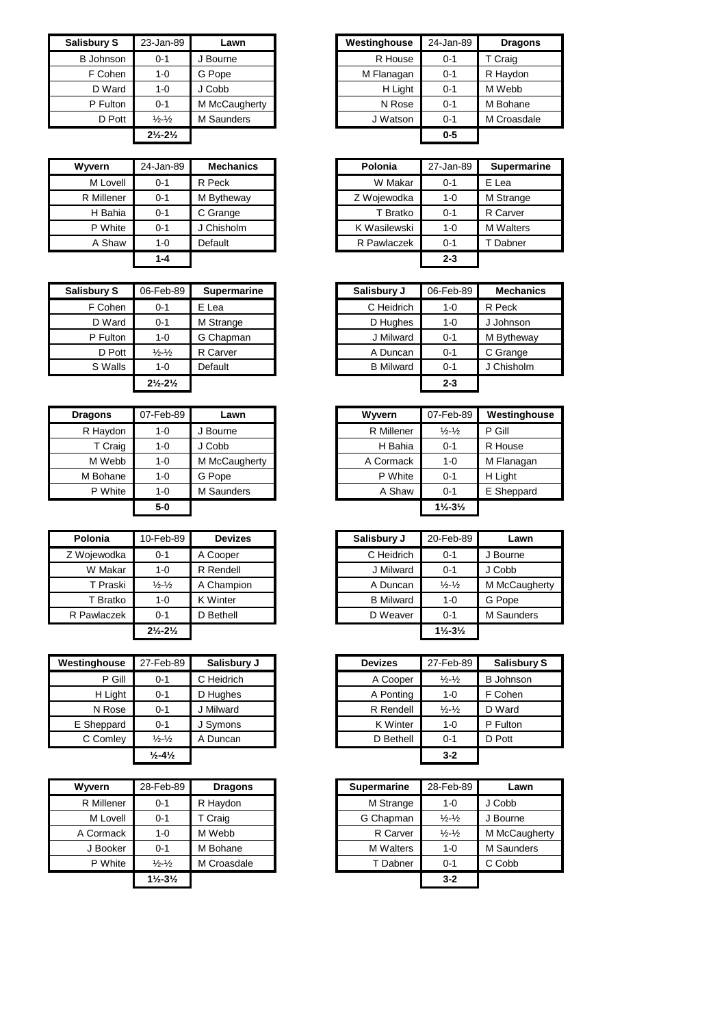| <b>Salisbury S</b> | 23-Jan-89                     | Lawn          | Westinghouse | 24-Jan-89 | <b>Dragons</b> |
|--------------------|-------------------------------|---------------|--------------|-----------|----------------|
| <b>B</b> Johnson   | $0 - 1$                       | J Bourne      | R House      | $0 - 1$   | T Craig        |
| F Cohen            | $1 - 0$                       | G Pope        | M Flanagan   | $0 - 1$   | R Haydon       |
| D Ward             | $1 - 0$                       | J Cobb        | H Light      | $0 - 1$   | M Webb         |
| P Fulton           | $0 - 1$                       | M McCaugherty | N Rose       | $0 - 1$   | M Bohane       |
| D Pott             | $\frac{1}{2} - \frac{1}{2}$   | M Saunders    | J Watson     | $0 - 1$   | M Croasdale    |
|                    | $2\frac{1}{2} - 2\frac{1}{2}$ |               |              | $0 - 5$   |                |

| <b>Wyvern</b> | 24-Jan-89 | <b>Mechanics</b> | Polonia      | 27-Jan-89 | <b>Sup</b> |
|---------------|-----------|------------------|--------------|-----------|------------|
| M Lovell      | $0 - 1$   | R Peck           | W Makar      | $0 - 1$   | E Lea      |
| R Millener    | $0 - 1$   | M Bytheway       | Z Wojewodka  | $1 - 0$   | M Stra     |
| H Bahia       | $0 - 1$   | C Grange         | T Bratko     | $0 - 1$   | R Car      |
| P White       | $0 - 1$   | J Chisholm       | K Wasilewski | $1 - 0$   | M Wa       |
| A Shaw        | $1 - 0$   | Default          | R Pawlaczek  | $0 - 1$   | Dat        |
|               | $1 - 4$   |                  |              | $2 - 3$   |            |

| <b>Salisbury S</b> | 06-Feb-89<br><b>Supermarine</b> | Salisbury J      | 06-Feb-89 | Mecl    |
|--------------------|---------------------------------|------------------|-----------|---------|
| F Cohen            | E Lea                           | C Heidrich       | $1 - 0$   | R Peck  |
| D Ward             | M Strange                       | D Hughes         | $1 - 0$   | J Johns |
| P Fulton           | G Chapman                       | J Milward        | $0 - 1$   | M Byth  |
| D Pott             | R Carver                        | A Duncan         | $0 - 1$   | C Gran  |
| S Walls            | Default                         | <b>B</b> Milward | $0 - 1$   | J Chish |
|                    |                                 |                  | $2 - 3$   |         |
|                    |                                 |                  |           |         |

| <b>Dragons</b> | 07-Feb-89 | Lawn          | Wyvern     | 07-Feb-89                     |
|----------------|-----------|---------------|------------|-------------------------------|
| R Haydon       | $1 - 0$   | J Bourne      | R Millener | $\frac{1}{2} - \frac{1}{2}$   |
| T Craig        | $1 - 0$   | J Cobb        | H Bahia    | $0 - 1$                       |
| M Webb         | $1 - 0$   | M McCaugherty | A Cormack  | $1 - 0$                       |
| M Bohane       | $1 - 0$   | G Pope        | P White    | $0 - 1$                       |
| P White        | $1 - 0$   | M Saunders    | A Shaw     | $0 - 1$                       |
|                | $5-0$     |               |            | $1\frac{1}{2} - 3\frac{1}{2}$ |

| Polonia     | 10-Feb-89                     | <b>Devizes</b>  | Salisbury J      | 20-Feb-89                     | Lawn       |
|-------------|-------------------------------|-----------------|------------------|-------------------------------|------------|
| Z Wojewodka | $0 - 1$                       | A Cooper        | C Heidrich       | $0 - 1$                       | J Bourne   |
| W Makar     | $1 - 0$                       | R Rendell       | J Milward        | $0 - 1$                       | J Cobb     |
| T Praski    | $\frac{1}{2} - \frac{1}{2}$   | A Champion      | A Duncan         | $\frac{1}{2} - \frac{1}{2}$   | M McCaugh  |
| T Bratko    | 1-0                           | <b>K</b> Winter | <b>B</b> Milward | $1 - 0$                       | G Pope     |
| R Pawlaczek | $0 - 1$                       | D Bethell       | D Weaver         | $0 - 1$                       | M Saunders |
|             | $2\frac{1}{2} - 2\frac{1}{2}$ |                 |                  | $1\frac{1}{2} - 3\frac{1}{2}$ |            |

| Westinghouse | 27-Feb-89                    | Salisbury J | <b>Devizes</b> | 27-Feb-89                   | <b>Salisbury S</b> |
|--------------|------------------------------|-------------|----------------|-----------------------------|--------------------|
| P Gill       | $0 - 1$                      | C Heidrich  | A Cooper       | $\frac{1}{2} - \frac{1}{2}$ | <b>B</b> Johnson   |
| H Light      | $0 - 1$                      | D Hughes    | A Ponting      | $1 - 0$                     | F Cohen            |
| N Rose       | $0 - 1$                      | J Milward   | R Rendell      | $\frac{1}{2} - \frac{1}{2}$ | D Ward             |
| E Sheppard   | $0 - 1$                      | J Symons    | K Winter       | 1-0                         | P Fulton           |
| C Comley     | $\frac{1}{2} - \frac{1}{2}$  | A Duncan    | D Bethell      | $0 - 1$                     | D Pott             |
|              | $\frac{1}{2} - 4\frac{1}{2}$ |             |                | $3 - 2$                     |                    |

| <b>Wyvern</b> | 28-Feb-89                     | <b>Dragons</b> | <b>Supermarine</b> | 28-Feb-89                   |
|---------------|-------------------------------|----------------|--------------------|-----------------------------|
| R Millener    | $0 - 1$                       | R Haydon       | M Strange          | 1-0                         |
| M Lovell      | $0 - 1$                       | T Craig        | G Chapman          | $\frac{1}{2}$ $\frac{1}{2}$ |
| A Cormack     | $1 - 0$                       | M Webb         | R Carver           | $\frac{1}{2}$ $\frac{1}{2}$ |
| J Booker      | $0 - 1$                       | M Bohane       | <b>M</b> Walters   | 1-0                         |
| P White       | $\frac{1}{2} - \frac{1}{2}$   | M Croasdale    | T Dabner           | $0 - 1$                     |
|               | $1\frac{1}{2} - 3\frac{1}{2}$ |                |                    | $3 - 2$                     |

| bury S   | 23-Jan-89                     | Lawn          | Westinghouse | 24-Jan-89 | <b>Dragons</b> |
|----------|-------------------------------|---------------|--------------|-----------|----------------|
| Johnson  | $0 - 1$                       | J Bourne      | R House      | $0 - 1$   | T Craig        |
| F Cohen  | $1-0$                         | G Pope        | M Flanagan   | $0 - 1$   | R Haydon       |
| D Ward   | $1 - 0$                       | J Cobb        | H Light      | $0 - 1$   | M Webb         |
| P Fulton | $0 - 1$                       | M McCaugherty | N Rose       | $0 - 1$   | M Bohane       |
| D Pott   | $\frac{1}{2} - \frac{1}{2}$   | M Saunders    | J Watson     | $0 - 1$   | M Croasdale    |
|          | $2\frac{1}{2} - 2\frac{1}{2}$ |               |              | $0 - 5$   |                |

| Wyvern     | 24-Jan-89 | <b>Mechanics</b> |
|------------|-----------|------------------|
| M Lovell   | $0 - 1$   | R Peck           |
| R Millener | $0 - 1$   | M Bytheway       |
| H Bahia    | $0 - 1$   | C Grange         |
| P White    | $0 - 1$   | J Chisholm       |
| A Shaw     | $1-0$     | Default          |
|            | $1 - 4$   |                  |

| Salisbury S | 06-Feb-89                     | Supermarine | Salisbury J      | 06-Feb-89 |
|-------------|-------------------------------|-------------|------------------|-----------|
| F Cohen     | $0 - 1$                       | E Lea       | C Heidrich       | 1-0       |
| D Ward      | $0 - 1$                       | M Strange   | D Hughes         | $1 - 0$   |
| P Fulton    | $1 - 0$                       | G Chapman   | J Milward        | $0 - 1$   |
| D Pott      | $\frac{1}{2} - \frac{1}{2}$   | R Carver    | A Duncan         | $0 - 1$   |
| S Walls     | $1 - 0$                       | Default     | <b>B</b> Milward | $0 - 1$   |
|             | $2\frac{1}{2} - 2\frac{1}{2}$ |             |                  | $2 - 3$   |

| <b>Dragons</b> | 07-Feb-89 | Lawn          |
|----------------|-----------|---------------|
| R Haydon       | 1-0       | J Bourne      |
| T Craig        | $1 - 0$   | J Cobb        |
| M Webb         | $1 - 0$   | M McCaugherty |
| M Bohane       | $1 - 0$   | G Pope        |
| P White        | $1 - 0$   | M Saunders    |
|                | $5-0$     |               |

| onia     | 10-Feb-89                     | <b>Devizes</b>  | Salisbury J      | 20-Feb-89                     | Lawn              |
|----------|-------------------------------|-----------------|------------------|-------------------------------|-------------------|
| iewodka  | $0 - 1$                       | A Cooper        | C Heidrich       | $0 - 1$                       | J Bourne          |
| V Makar  | $1 - 0$                       | R Rendell       | J Milward        | $0 - 1$                       | J Cobb            |
| T Praski | $\frac{1}{2} - \frac{1}{2}$   | A Champion      | A Duncan         | $\frac{1}{2} - \frac{1}{2}$   | M McCaugherty     |
| T Bratko | $1 - 0$                       | <b>K</b> Winter | <b>B</b> Milward | $1 - 0$                       | G Pope            |
| wlaczek  | $0 - 1$                       | D Bethell       | D Weaver         | $0 - 1$                       | <b>M</b> Saunders |
|          | $2\frac{1}{2} - 2\frac{1}{2}$ |                 |                  | $1\frac{1}{2} - 3\frac{1}{2}$ |                   |

| 27-Feb-89                    | Salisbury J | <b>Devizes</b>  | 27-Feb-89                   | <b>Salisbury S</b> |
|------------------------------|-------------|-----------------|-----------------------------|--------------------|
| $0 - 1$                      | C Heidrich  | A Cooper        | $\frac{1}{2} - \frac{1}{2}$ | <b>B</b> Johnson   |
| $0 - 1$                      | D Hughes    | A Ponting       | $1 - 0$                     | F Cohen            |
| $0 - 1$                      | J Milward   | R Rendell       | $\frac{1}{2} - \frac{1}{2}$ | D Ward             |
| $0 - 1$                      | J Symons    | <b>K</b> Winter | $1 - 0$                     | P Fulton           |
| $\frac{1}{2} - \frac{1}{2}$  | A Duncan    | D Bethell       | $0 - 1$                     | D Pott             |
| $\frac{1}{2} - 4\frac{1}{2}$ |             |                 | $3 - 2$                     |                    |
|                              |             |                 |                             |                    |

| Nyvern     | 28-Feb-89                     | <b>Dragons</b> | Supermarine      | 28-Feb-89                   | Lawn              |
|------------|-------------------------------|----------------|------------------|-----------------------------|-------------------|
| R Millener | $0 - 1$                       | R Haydon       | M Strange        | $1 - 0$                     | J Cobb            |
| M Lovell   | $0 - 1$                       | T Craig        | G Chapman        | $\frac{1}{2} - \frac{1}{2}$ | J Bourne          |
| A Cormack  | $1 - 0$                       | M Webb         | R Carver         | $\frac{1}{2} - \frac{1}{2}$ | M McCaugherty     |
| J Booker   | $0 - 1$                       | M Bohane       | <b>M</b> Walters | $1 - 0$                     | <b>M</b> Saunders |
| P White    | $\frac{1}{2} - \frac{1}{2}$   | M Croasdale    | T Dabner         | $0 - 1$                     | C Cobb            |
|            | $1\frac{1}{2} - 3\frac{1}{2}$ |                |                  | $3 - 2$                     |                   |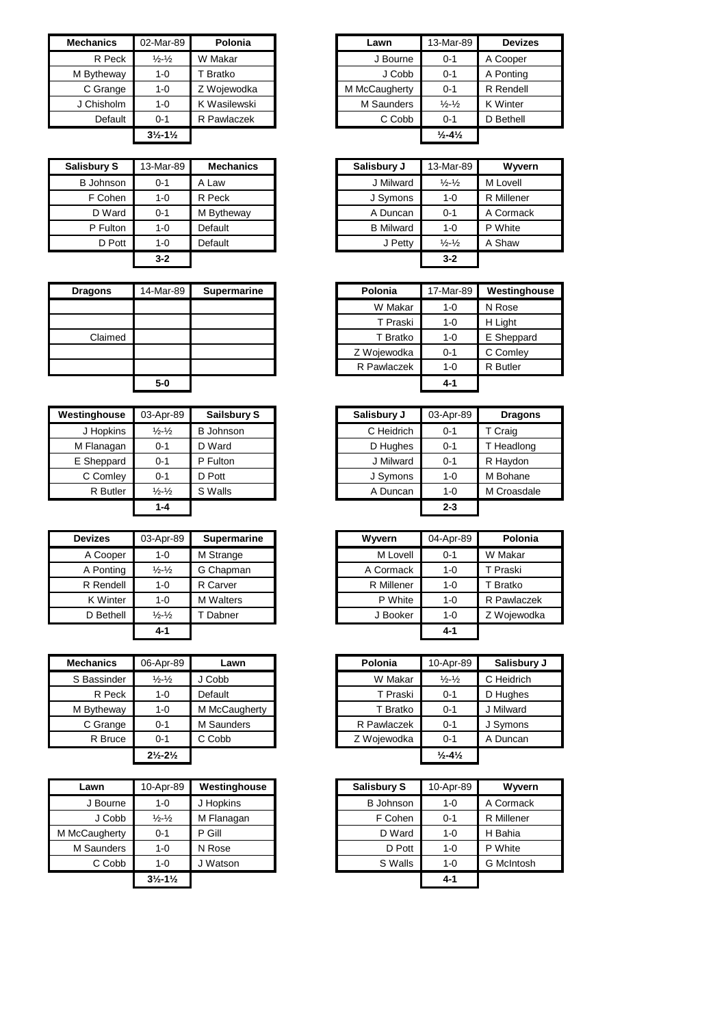| <b>Mechanics</b> | 02-Mar-89                     | Polonia      | Lawn          | 13-Mar-89                    |
|------------------|-------------------------------|--------------|---------------|------------------------------|
| R Peck           | $\frac{1}{2} - \frac{1}{2}$   | W Makar      | J Bourne      | $0 - 1$                      |
| M Bytheway       | 1-0                           | Bratko       | J Cobb        | $0 - 1$                      |
| C Grange         | $1 - 0$                       | Z Wojewodka  | M McCaugherty | $0 - 1$                      |
| J Chisholm       | $1 - 0$                       | K Wasilewski | M Saunders    | $\frac{1}{2} - \frac{1}{2}$  |
| Default          | $0 - 1$                       | R Pawlaczek  | C Cobb        | $0 - 1$                      |
|                  | $3\frac{1}{2} - 1\frac{1}{2}$ |              |               | $\frac{1}{2} - 4\frac{1}{2}$ |

| <b>Salisbury S</b> | 13-Mar-89 | <b>Mechanics</b> | Salisbury J      | 13-Mar-89                   | Wyvern     |
|--------------------|-----------|------------------|------------------|-----------------------------|------------|
| <b>B</b> Johnson   | 0-1       | A Law            | J Milward        | $\frac{1}{2} - \frac{1}{2}$ | M Lovell   |
| F Cohen            | 1-0       | R Peck           | J Symons         | $1 - 0$                     | R Millener |
| D Ward             | $0 - 1$   | M Bytheway       | A Duncan         | $0 - 1$                     | A Cormack  |
| P Fulton           | $1 - 0$   | Default          | <b>B</b> Milward | $1 - 0$                     | P White    |
| D Pott             | $1 - 0$   | Default          | J Petty          | $\frac{1}{2} - \frac{1}{2}$ | A Shaw     |
|                    | $3 - 2$   |                  |                  | $3 - 2$                     |            |

| <b>Dragons</b> | 14-Mar-89 | Supermarine |
|----------------|-----------|-------------|
|                |           |             |
|                |           |             |
| Claimed        |           |             |
|                |           |             |
|                |           |             |
|                |           |             |

| Westinghouse | 03-Apr-89                   | <b>Sailsbury S</b> | Salisbury J | 03-Apr-89 |
|--------------|-----------------------------|--------------------|-------------|-----------|
| J Hopkins    | $\frac{1}{2} - \frac{1}{2}$ | <b>B</b> Johnson   | C Heidrich  | $0 - 1$   |
| M Flanagan   | $0 - 1$                     | D Ward             | D Hughes    | $0 - 1$   |
| E Sheppard   | $0 - 1$                     | P Fulton           | J Milward   | $0 - 1$   |
| C Comley     | $0 - 1$                     | D Pott             | J Symons    | 1-0       |
| R Butler     | $\frac{1}{2} - \frac{1}{2}$ | S Walls            | A Duncan    | $1 - 0$   |
|              | $1 - 4$                     |                    |             | $2 - 3$   |

| <b>Devizes</b> | 03-Apr-89                   | <b>Supermarine</b> | Wyvern     | 04-Apr-89 | Polo     |
|----------------|-----------------------------|--------------------|------------|-----------|----------|
| A Cooper       | $1 - 0$                     | M Strange          | M Lovell   | $0 - 1$   | W Makar  |
| A Ponting      | $\frac{1}{2} - \frac{1}{2}$ | G Chapman          | A Cormack  | $1 - 0$   | T Praski |
| R Rendell      | $1 - 0$                     | R Carver           | R Millener | $1 - 0$   | T Bratko |
| K Winter       | $1 - 0$                     | <b>M</b> Walters   | P White    | $1 - 0$   | R Pawlad |
| D Bethell      | $\frac{1}{2} - \frac{1}{2}$ | Dabner             | J Booker   | $1 - 0$   | Z Wojew  |
|                | $4 - 1$                     |                    |            | $4 - 1$   |          |

| <b>Mechanics</b> | 06-Apr-89                     | Lawn          | Polonia     | 10-Apr-89                    |
|------------------|-------------------------------|---------------|-------------|------------------------------|
| S Bassinder      | $\frac{1}{2} - \frac{1}{2}$   | J Cobb        | W Makar     | $\frac{1}{2} - \frac{1}{2}$  |
| R Peck           | $1 - 0$                       | Default       | T Praski    | $0 - 1$                      |
| M Bytheway       | $1 - 0$                       | M McCaugherty | T Bratko    | $0 - 1$                      |
| C Grange         | $0 - 1$                       | M Saunders    | R Pawlaczek | $0 - 1$                      |
| R Bruce          | $0 - 1$                       | C Cobb        | Z Wojewodka | $0 - 1$                      |
|                  | $2\frac{1}{2} - 2\frac{1}{2}$ |               |             | $\frac{1}{2} - 4\frac{1}{2}$ |

| Lawn          | 10-Apr-89                     | Westinghouse | <b>Salisbury S</b> | 10-Apr-89 |                |
|---------------|-------------------------------|--------------|--------------------|-----------|----------------|
| J Bourne      | $1 - 0$                       | J Hopkins    | <b>B</b> Johnson   | $1 - 0$   | A Corm         |
| J Cobb        | $\frac{1}{2} - \frac{1}{2}$   | M Flanagan   | F Cohen            | $0 - 1$   | R Miller       |
| M McCaugherty | $0 - 1$                       | P Gill       | D Ward             | $1 - 0$   | H Bahia        |
| M Saunders    | $1 - 0$                       | N Rose       | D Pott             | $1 - 0$   | P White        |
| C Cobb        | $1 - 0$                       | J Watson     | S Walls            | $1 - 0$   | <b>G</b> McInt |
|               | $3\frac{1}{2} - 1\frac{1}{2}$ |              |                    | $4 - 1$   |                |

| 02-Mar-89                     | Polonia      | Lawn          | 13-Mar-89                    | <b>Devizes</b>  |
|-------------------------------|--------------|---------------|------------------------------|-----------------|
| $\frac{1}{2} - \frac{1}{2}$   | W Makar      | J Bourne      | $0 - 1$                      | A Cooper        |
| $1 - 0$                       | Bratko       | J Cobb        | $0 - 1$                      | A Ponting       |
| $1 - 0$                       | Z Wojewodka  | M McCaugherty | $0 - 1$                      | R Rendell       |
| $1 - 0$                       | K Wasilewski | M Saunders    | $\frac{1}{2} - \frac{1}{2}$  | <b>K</b> Winter |
| $0 - 1$                       | R Pawlaczek  | C Cobb        | $0 - 1$                      | D Bethell       |
| $3\frac{1}{2} - 1\frac{1}{2}$ |              |               | $\frac{1}{2} - 4\frac{1}{2}$ |                 |
|                               |              |               |                              |                 |

| bury S   | 13-Mar-89 | <b>Mechanics</b> | Salisbury J      | 13-Mar-89                   | Wyvern     |
|----------|-----------|------------------|------------------|-----------------------------|------------|
| Johnson  | $0 - 1$   | A Law            | J Milward        | $\frac{1}{2} - \frac{1}{2}$ | M Lovell   |
| F Cohen  | $1 - 0$   | R Peck           | J Symons         | $1 - 0$                     | R Millener |
| D Ward   | $0 - 1$   | M Bytheway       | A Duncan         | $0 - 1$                     | A Cormack  |
| P Fulton | $1 - 0$   | Default          | <b>B</b> Milward | $1 - 0$                     | P White    |
| D Pott   | $1 - 0$   | Default          | J Petty          | $\frac{1}{2} - \frac{1}{2}$ | A Shaw     |
|          | $3 - 2$   |                  |                  | $3 - 2$                     |            |

| <b>Dragons</b> | 14-Mar-89 | Supermarine | Polonia     | 17-Mar-89 | Westinghouse |
|----------------|-----------|-------------|-------------|-----------|--------------|
|                |           |             | W Makar     | 1-0       | N Rose       |
|                |           |             | T Praski    | $1 - 0$   | H Light      |
| Claimed        |           |             | T Bratko    | $1 - 0$   | E Sheppard   |
|                |           |             | Z Wojewodka | $0 - 1$   | C Comley     |
|                |           |             | R Pawlaczek | 1-0       | R Butler     |
|                | $5-0$     |             |             | 4-1       |              |

| 03-Apr-89                   | <b>Sailsbury S</b> | Salisbury J | 03-Apr-89 | <b>Dragons</b> |
|-----------------------------|--------------------|-------------|-----------|----------------|
| $\frac{1}{2} - \frac{1}{2}$ | <b>B</b> Johnson   | C Heidrich  | $0 - 1$   | T Craig        |
| $0 - 1$                     | D Ward             | D Hughes    | $0 - 1$   | T Headlong     |
| $0 - 1$                     | P Fulton           | J Milward   | $0 - 1$   | R Haydon       |
| $0 - 1$                     | D Pott             | J Symons    | $1 - 0$   | M Bohane       |
| $\frac{1}{2} - \frac{1}{2}$ | S Walls            | A Duncan    | $1 - 0$   | M Croasdale    |
| $1 - 4$                     |                    |             | $2 - 3$   |                |
|                             |                    |             |           |                |

| <b>Devizes</b>  | 03-Apr-89                   | <b>Supermarine</b> | Wyvern     | 04-Apr-89 | Polonia     |
|-----------------|-----------------------------|--------------------|------------|-----------|-------------|
| A Cooper        | $1 - 0$                     | M Strange          | M Lovell   | $0 - 1$   | W Makar     |
| A Ponting       | $\frac{1}{2} - \frac{1}{2}$ | G Chapman          | A Cormack  | $1 - 0$   | T Praski    |
| R Rendell       | 1-0                         | R Carver           | R Millener | $1 - 0$   | T Bratko    |
| <b>K</b> Winter | $1 - 0$                     | <b>M</b> Walters   | P White    | $1 - 0$   | R Pawlaczek |
| D Bethell       | $\frac{1}{2} - \frac{1}{2}$ | Dabner             | J Booker   | $1 - 0$   | Z Wojewodka |
|                 | $4 - 1$                     |                    |            | $4 - 1$   |             |

| Mechanics   | 06-Apr-89                     | Lawn          | Polonia     | 10-Apr-89                    | Salisbury J |
|-------------|-------------------------------|---------------|-------------|------------------------------|-------------|
| S Bassinder | $\frac{1}{2} - \frac{1}{2}$   | Cobb          | W Makar     | $\frac{1}{2} - \frac{1}{2}$  | C Heidrich  |
| R Peck      | $1 - 0$                       | Default       | T Praski    | $0 - 1$                      | D Hughes    |
| M Bytheway  | 1-0                           | M McCaugherty | T Bratko    | $0 - 1$                      | J Milward   |
| C Grange    | $0 - 1$                       | M Saunders    | R Pawlaczek | $0 - 1$                      | J Symons    |
| R Bruce     | $0 - 1$                       | C Cobb        | Z Wojewodka | $0 - 1$                      | A Duncan    |
|             | $2\frac{1}{2} - 2\frac{1}{2}$ |               |             | $\frac{1}{2} - 4\frac{1}{2}$ |             |

| Lawn       | 10-Apr-89                     | Westinghouse | <b>Salisbury S</b> | 10-Apr-89 | Wyvern            |
|------------|-------------------------------|--------------|--------------------|-----------|-------------------|
| J Bourne   | $1 - 0$                       | J Hopkins    | <b>B</b> Johnson   | $1 - 0$   | A Cormack         |
| J Cobb     | $\frac{1}{2} - \frac{1}{2}$   | M Flanagan   | F Cohen            | $0 - 1$   | R Millener        |
| :Caugherty | $0 - 1$                       | P Gill       | D Ward             | $1 - 0$   | H Bahia           |
| 1 Saunders | $1 - 0$                       | N Rose       | D Pott             | $1 - 0$   | P White           |
| C Cobb     | $1 - 0$                       | J Watson     | S Walls            | $1 - 0$   | <b>G</b> McIntosh |
|            | $3\frac{1}{2} - 1\frac{1}{2}$ |              |                    | 4-1       |                   |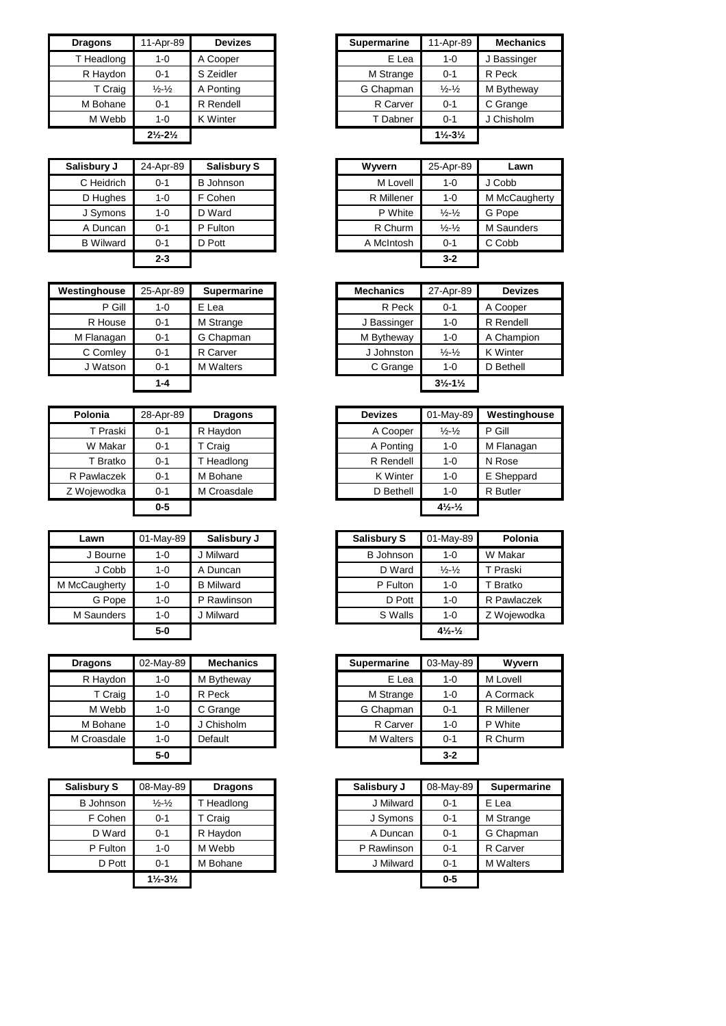| <b>Dragons</b> | 11-Apr-89                     | <b>Devizes</b>  | <b>Supermarine</b> | 11-Apr-89                     |         |
|----------------|-------------------------------|-----------------|--------------------|-------------------------------|---------|
| T Headlong     | $1 - 0$                       | A Cooper        | E Lea              | $1 - 0$                       | J Bassi |
| R Haydon       | $0 - 1$                       | S Zeidler       | M Strange          | $0 - 1$                       | R Peck  |
| T Craig        | $\frac{1}{2}$ - $\frac{1}{2}$ | A Ponting       | G Chapman          | $\frac{1}{2} - \frac{1}{2}$   | M Byth  |
| M Bohane       | $0 - 1$                       | R Rendell       | R Carver           | $0 - 1$                       | C Gran  |
| M Webb         | $1 - 0$                       | <b>K</b> Winter | T Dabner           | $0 - 1$                       | J Chish |
|                | $2\frac{1}{2} - 2\frac{1}{2}$ |                 |                    | $1\frac{1}{2} - 3\frac{1}{2}$ |         |

| Salisbury J      | 24-Apr-89 | <b>Salisbury S</b> | Wyvern     | 25-Apr-89                   |           |
|------------------|-----------|--------------------|------------|-----------------------------|-----------|
| C Heidrich       | $0 - 1$   | <b>B</b> Johnson   | M Lovell   | $1 - 0$                     | J Cobb    |
| D Hughes         | $1 - 0$   | F Cohen            | R Millener | $1 - 0$                     | M McCaug  |
| J Symons         | $1 - 0$   | D Ward             | P White    | $\frac{1}{2} - \frac{1}{2}$ | G Pope    |
| A Duncan         | $0 - 1$   | P Fulton           | R Churm    | $\frac{1}{2} - \frac{1}{2}$ | M Saunder |
| <b>B</b> Wilward | $0 - 1$   | D Pott             | A McIntosh | $0 - 1$                     | C Cobb    |
|                  | $2 - 3$   |                    |            | $3 - 2$                     |           |

| Westinghouse | 25-Apr-89 | <b>Supermarine</b> | <b>Mechanics</b> | 27-Apr-89                     |
|--------------|-----------|--------------------|------------------|-------------------------------|
| P Gill       | $1 - 0$   | E Lea              | R Peck           | $0 - 1$                       |
| R House      | $0 - 1$   | M Strange          | J Bassinger      | 1-0                           |
| M Flanagan   | $0 - 1$   | G Chapman          | M Bytheway       | $1 - 0$                       |
| C Comley     | $0 - 1$   | R Carver           | J Johnston       | $\frac{1}{2} - \frac{1}{2}$   |
| J Watson     | $0 - 1$   | <b>M</b> Walters   | C Grange         | $1 - 0$                       |
|              | $1 - 4$   |                    |                  | $3\frac{1}{2} - 1\frac{1}{2}$ |

| Polonia     | 28-Apr-89 | <b>Dragons</b> | <b>Devizes</b> | 01-May-89                      | Westingho       |
|-------------|-----------|----------------|----------------|--------------------------------|-----------------|
| T Praski    | $0 - 1$   | R Haydon       | A Cooper       | $\frac{1}{2} - \frac{1}{2}$    | P Gill          |
| W Makar     | 0-1       | T Craig        | A Ponting      | 1-0                            | M Flanagan      |
| T Bratko    | 0-1       | T Headlong     | R Rendell      | 1-0                            | N Rose          |
| R Pawlaczek | 0-1       | M Bohane       | K Winter       | 1-0                            | E Sheppard      |
| Z Wojewodka | 0-1       | M Croasdale    | D Bethell      | $1 - 0$                        | <b>R</b> Butler |
|             | $0-5$     |                |                | $4\frac{1}{2}$ - $\frac{1}{2}$ |                 |

| Lawn          | 01-May-89 | Salisbury J      | <b>Salisbury S</b> | 01-May-89                      | Polo     |
|---------------|-----------|------------------|--------------------|--------------------------------|----------|
| J Bourne      | $1 - 0$   | J Milward        | <b>B</b> Johnson   | $1 - 0$                        | W Maka   |
| J Cobb        | $1 - 0$   | A Duncan         | D Ward             | $\frac{1}{2} - \frac{1}{2}$    | T Praski |
| M McCaugherty | $1 - 0$   | <b>B</b> Milward | P Fulton           | $1 - 0$                        | Bratko   |
| G Pope        | $1 - 0$   | P Rawlinson      | D Pott             | $1 - 0$                        | R Pawla  |
| M Saunders    | $1 - 0$   | J Milward        | S Walls            | $1 - 0$                        | Z Woiew  |
|               | $5-0$     |                  |                    | $4\frac{1}{2}$ - $\frac{1}{2}$ |          |

| <b>Dragons</b> | 02-May-89 | <b>Mechanics</b> | <b>Supermarine</b> | 03-May-89 | Ww        |
|----------------|-----------|------------------|--------------------|-----------|-----------|
| R Haydon       | $1 - 0$   | M Bytheway       | E Lea              | $1 - 0$   | M Lovell  |
| T Craig        | $1 - 0$   | R Peck           | M Strange          | $1 - 0$   | A Corma   |
| M Webb         | $1 - 0$   | C Grange         | G Chapman          | $0 - 1$   | R Millene |
| M Bohane       | $1 - 0$   | J Chisholm       | R Carver           | $1 - 0$   | P White   |
| M Croasdale    | $1 - 0$   | Default          | <b>M</b> Walters   | $0 - 1$   | R Churm   |
|                | $5-0$     |                  |                    | $3 - 2$   |           |

| <b>Salisbury S</b> | 08-May-89                     | <b>Dragons</b> | Salisbury J | 08-May-89 | <b>Sup</b> |
|--------------------|-------------------------------|----------------|-------------|-----------|------------|
| <b>B</b> Johnson   | $\frac{1}{2} - \frac{1}{2}$   | T Headlong     | J Milward   | $0 - 1$   | E Lea      |
| F Cohen            | $0 - 1$                       | T Craig        | J Symons    | $0 - 1$   | M Stra     |
| D Ward             | $0 - 1$                       | R Haydon       | A Duncan    | $0 - 1$   | G Cha      |
| P Fulton           | $1 - 0$                       | M Webb         | P Rawlinson | $0 - 1$   | R Car      |
| D Pott             | $0 - 1$                       | M Bohane       | J Milward   | $0 - 1$   | M Wa       |
|                    | $1\frac{1}{2} - 3\frac{1}{2}$ |                |             | $0 - 5$   |            |

| <b>Dragons</b> | 11-Apr-89                     | <b>Devizes</b>  | <b>Supermarine</b> | 11-Apr-89                     | <b>Mechanics</b> |
|----------------|-------------------------------|-----------------|--------------------|-------------------------------|------------------|
| T Headlong     | 1-0                           | A Cooper        | E Lea              | 1-0                           | Bassinger        |
| R Haydon       | $0 - 1$                       | S Zeidler       | M Strange          | $0 - 1$                       | R Peck           |
| T Craig        | $\frac{1}{2}$ - $\frac{1}{2}$ | A Ponting       | G Chapman          | $\frac{1}{2} - \frac{1}{2}$   | M Bytheway       |
| M Bohane       | $0 - 1$                       | R Rendell       | R Carver           | $0 - 1$                       |                  |
| M Webb         | $1 - 0$                       | <b>K</b> Winter | T Dabner           | $0 - 1$                       |                  |
|                | $2\frac{1}{2} - 2\frac{1}{2}$ |                 |                    | $1\frac{1}{2} - 3\frac{1}{2}$ |                  |

| isbury J         | 24-Apr-89 | <b>Salisbury S</b> | Wyvern     | 25-Apr-89                   | Lawn              |
|------------------|-----------|--------------------|------------|-----------------------------|-------------------|
| C Heidrich       | $0 - 1$   | B Johnson          | M Lovell   | $1 - 0$                     | J Cobb            |
| D Hughes         | $1 - 0$   | F Cohen            | R Millener | $1 - 0$                     | M McCaugherty     |
| J Symons         | $1 - 0$   | D Ward             | P White    | $\frac{1}{2} - \frac{1}{2}$ | G Pope            |
| A Duncan         | $0 - 1$   | P Fulton           | R Churm    | $\frac{1}{2} - \frac{1}{2}$ | <b>M</b> Saunders |
| <b>B Wilward</b> | $0 - 1$   | D Pott             | A McIntosh | $0 - 1$                     | C Cobb            |
|                  | $2 - 3$   |                    |            | $3 - 2$                     |                   |
|                  |           |                    |            |                             |                   |

| stinghouse | 25-Apr-89 | Supermarine      | <b>Mechanics</b> | 27-Apr-89                     | <b>Devizes</b>  |
|------------|-----------|------------------|------------------|-------------------------------|-----------------|
| P Gill     | $1 - 0$   | E Lea            | R Peck           | $0 - 1$                       | A Cooper        |
| R House    | $0 - 1$   | M Strange        | J Bassinger      | 1-0                           | R Rendell       |
| M Flanagan | $0 - 1$   | G Chapman        | M Bytheway       | $1 - 0$                       | A Champion      |
| C Comley   | $0 - 1$   | R Carver         | J Johnston       | $\frac{1}{2} - \frac{1}{2}$   | <b>K</b> Winter |
| J Watson   | $0 - 1$   | <b>M</b> Walters | C Grange         | $1 - 0$                       | D Bethell       |
|            | $1 - 4$   |                  |                  | $3\frac{1}{2} - 1\frac{1}{2}$ |                 |

| Polonia             | 28-Apr-89 | <b>Dragons</b> | <b>Devizes</b>  | 01-May-89                      | Westinghouse    |
|---------------------|-----------|----------------|-----------------|--------------------------------|-----------------|
| T Praski            | $0 - 1$   | R Haydon       | A Cooper        | $\frac{1}{2} - \frac{1}{2}$    | P Gill          |
| W Makar             | $0 - 1$   | T Craig        | A Ponting       | $1 - 0$                        | M Flanagan      |
| <sup>-</sup> Bratko | $0 - 1$   | T Headlong     | R Rendell       | $1 - 0$                        | N Rose          |
| Pawlaczek           | $0 - 1$   | M Bohane       | <b>K</b> Winter | $1 - 0$                        | E Sheppard      |
| Woiewodka           | $0 - 1$   | M Croasdale    | D Bethell       | $1 - 0$                        | <b>R</b> Butler |
|                     | $0-5$     |                |                 | $4\frac{1}{2}$ - $\frac{1}{2}$ |                 |

| 01-May-89<br>1-0 | Salisbury J      | <b>Salisbury S</b> | 01-May-89                      |             |
|------------------|------------------|--------------------|--------------------------------|-------------|
|                  |                  |                    |                                | Polonia     |
|                  | J Milward        | <b>B</b> Johnson   | 1-0                            | W Makar     |
| $1 - 0$          | A Duncan         | D Ward             | $\frac{1}{2} - \frac{1}{2}$    | T Praski    |
| 1-0              | <b>B</b> Milward | P Fulton           | 1-0                            | T Bratko    |
| $1 - 0$          | P Rawlinson      | D Pott             | $1 - 0$                        | R Pawlaczek |
| $1 - 0$          | J Milward        | S Walls            | $1 - 0$                        | Z Wojewodka |
| 5-0              |                  |                    | $4\frac{1}{2}$ - $\frac{1}{2}$ |             |
|                  |                  |                    |                                |             |

| <b>Dragons</b> | 02-May-89 | <b>Mechanics</b> | <b>Supermarine</b> | 03-May-89 | Wyvern     |
|----------------|-----------|------------------|--------------------|-----------|------------|
| R Haydon       | 1-0       | M Bytheway       | E Lea              | 1-0       | M Lovell   |
| T Craig        | $1 - 0$   | R Peck           | M Strange          | $1 - 0$   | A Cormack  |
| M Webb         | $1 - 0$   | C Grange         | G Chapman          | $0 - 1$   | R Millener |
| M Bohane       | $1 - 0$   | J Chisholm       | R Carver           | $1 - 0$   | P White    |
| M Croasdale    | $1 - 0$   | Default          | <b>M</b> Walters   | $0 - 1$   | R Churm    |
|                | $5-0$     |                  |                    | $3 - 2$   |            |

| Salisbury S      | 08-May-89                     | <b>Dragons</b> | Salisbury J | 08-May-89 | <b>Supermarine</b> |
|------------------|-------------------------------|----------------|-------------|-----------|--------------------|
| <b>B</b> Johnson | $\frac{1}{2} - \frac{1}{2}$   | T Headlong     | J Milward   | $0 - 1$   | E Lea              |
| F Cohen          | $0 - 1$                       | T Craig        | J Symons    | $0 - 1$   | M Strange          |
| D Ward           | $0 - 1$                       | R Haydon       | A Duncan    | $0 - 1$   | G Chapman          |
| P Fulton         | $1 - 0$                       | M Webb         | P Rawlinson | $0 - 1$   | R Carver           |
| D Pott           | $0 - 1$                       | M Bohane       | J Milward   | $0 - 1$   | <b>M</b> Walters   |
|                  | $1\frac{1}{2} - 3\frac{1}{2}$ |                |             | $0 - 5$   |                    |